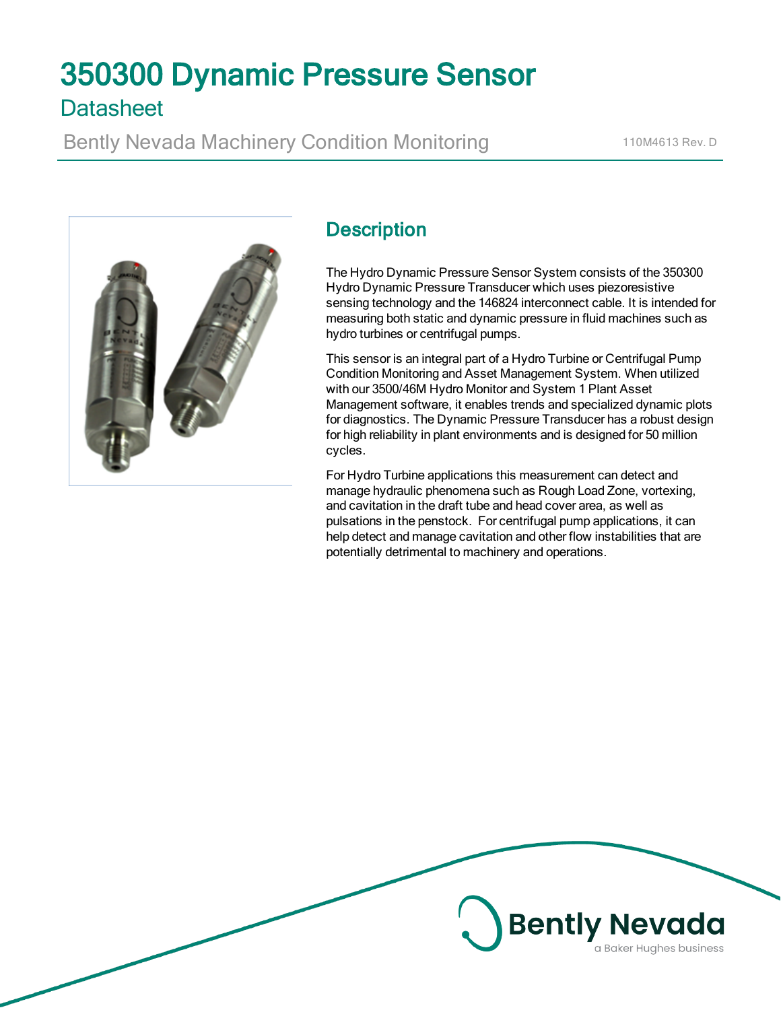# 350300 Dynamic Pressure Sensor **Datasheet**

Bently Nevada Machinery Condition Monitoring 110M4613 Rev. D



## **Description**

The Hydro Dynamic Pressure Sensor System consists of the 350300 Hydro Dynamic Pressure Transducer which uses piezoresistive sensing technology and the 146824 interconnect cable. It is intended for measuring both static and dynamic pressure in fluid machines such as hydro turbines or centrifugal pumps.

This sensor is an integral part of a Hydro Turbine or Centrifugal Pump Condition Monitoring and Asset Management System. When utilized with our 3500/46M Hydro Monitor and System 1 Plant Asset Management software, it enables trends and specialized dynamic plots for diagnostics. The Dynamic Pressure Transducer has a robust design for high reliability in plant environments and is designed for 50 million cycles.

For Hydro Turbine applications this measurement can detect and manage hydraulic phenomena such as Rough Load Zone, vortexing, and cavitation in the draft tube and head cover area, as well as pulsations in the penstock. For centrifugal pump applications, it can help detect and manage cavitation and other flow instabilities that are potentially detrimental to machinery and operations.

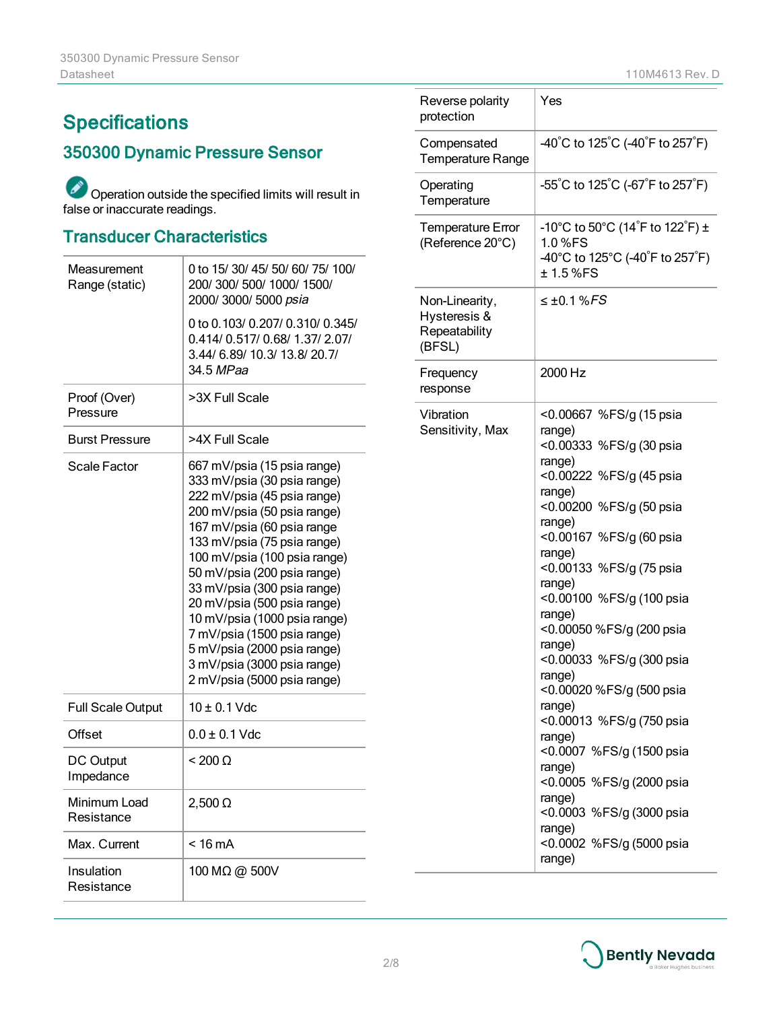## **Specifications**

## 350300 Dynamic Pressure Sensor

Operation outside the specified limits will result in false or inaccurate readings.

## Transducer Characteristics

| Measurement<br>Range (static) | 0 to 15/30/45/50/60/75/100/<br>200/ 300/ 500/ 1000/ 1500/<br>2000/ 3000/ 5000 psia                                                                                                                                                                                                                                                                                                                                                                                             |  |
|-------------------------------|--------------------------------------------------------------------------------------------------------------------------------------------------------------------------------------------------------------------------------------------------------------------------------------------------------------------------------------------------------------------------------------------------------------------------------------------------------------------------------|--|
|                               | 0 to 0.103/0.207/0.310/0.345/<br>0.414/0.517/0.68/1.37/2.07/<br>3.44/ 6.89/ 10.3/ 13.8/ 20.7/<br>34.5 MPaa                                                                                                                                                                                                                                                                                                                                                                     |  |
| Proof (Over)<br>Pressure      | >3X Full Scale                                                                                                                                                                                                                                                                                                                                                                                                                                                                 |  |
| <b>Burst Pressure</b>         | >4X Full Scale                                                                                                                                                                                                                                                                                                                                                                                                                                                                 |  |
| Scale Factor                  | 667 mV/psia (15 psia range)<br>333 mV/psia (30 psia range)<br>222 mV/psia (45 psia range)<br>200 mV/psia (50 psia range)<br>167 mV/psia (60 psia range<br>133 mV/psia (75 psia range)<br>100 mV/psia (100 psia range)<br>50 mV/psia (200 psia range)<br>33 mV/psia (300 psia range)<br>20 mV/psia (500 psia range)<br>10 mV/psia (1000 psia range)<br>7 mV/psia (1500 psia range)<br>5 mV/psia (2000 psia range)<br>3 mV/psia (3000 psia range)<br>2 mV/psia (5000 psia range) |  |
| <b>Full Scale Output</b>      | $10 \pm 0.1$ Vdc                                                                                                                                                                                                                                                                                                                                                                                                                                                               |  |
| Offset                        | $0.0 \pm 0.1$ Vdc                                                                                                                                                                                                                                                                                                                                                                                                                                                              |  |
| <b>DC Output</b><br>Impedance | $<$ 200 $\Omega$                                                                                                                                                                                                                                                                                                                                                                                                                                                               |  |
| Minimum Load<br>Resistance    | $2,500 \Omega$                                                                                                                                                                                                                                                                                                                                                                                                                                                                 |  |
| Max. Current                  | $< 16 \text{ mA}$                                                                                                                                                                                                                                                                                                                                                                                                                                                              |  |
| Insulation<br>Resistance      | 100 MΩ @ 500V                                                                                                                                                                                                                                                                                                                                                                                                                                                                  |  |

| Reverse polarity<br>protection                            | Yes                                                                                                                                                                                                                                                                                                                                                                                                                                                                                                                                                                              |
|-----------------------------------------------------------|----------------------------------------------------------------------------------------------------------------------------------------------------------------------------------------------------------------------------------------------------------------------------------------------------------------------------------------------------------------------------------------------------------------------------------------------------------------------------------------------------------------------------------------------------------------------------------|
| Compensated<br><b>Temperature Range</b>                   | -40°C to 125°C (-40°F to 257°F)                                                                                                                                                                                                                                                                                                                                                                                                                                                                                                                                                  |
| Operating<br>Temperature                                  | $-55^{\circ}$ C to 125 $^{\circ}$ C (-67 $^{\circ}$ F to 257 $^{\circ}$ F)                                                                                                                                                                                                                                                                                                                                                                                                                                                                                                       |
| <b>Temperature Error</b><br>(Reference 20°C)              | -10°C to 50°C (14 <sup>°</sup> F to 122 <sup>°</sup> F) ±<br>1.0 %FS<br>-40°C to 125°C (-40 <sup>°</sup> F to 257 <sup>°</sup> F)<br>±1.5%FS                                                                                                                                                                                                                                                                                                                                                                                                                                     |
| Non-Linearity,<br>Hysteresis &<br>Repeatability<br>(BFSL) | $\leq \pm 0.1$ % FS                                                                                                                                                                                                                                                                                                                                                                                                                                                                                                                                                              |
| Frequency<br>response                                     | 2000 Hz                                                                                                                                                                                                                                                                                                                                                                                                                                                                                                                                                                          |
| Vibration<br>Sensitivity, Max                             | <0.00667 %FS/g (15 psia<br>range)<br><0.00333 %FS/g (30 psia<br>range)<br><0.00222 %FS/g (45 psia<br>range)<br><0.00200 %FS/g (50 psia<br>range)<br><0.00167 %FS/g (60 psia<br>range)<br><0.00133 %FS/g (75 psia<br>range)<br><0.00100 %FS/g (100 psia<br>range)<br><0.00050 %FS/g (200 psia<br>range)<br><0.00033 %FS/g (300 psia<br>range)<br><0.00020 %FS/g (500 psia<br>range)<br><0.00013 %FS/g (750 psia<br>range)<br><0.0007 %FS/g (1500 psia<br>range)<br><0.0005 %FS/g (2000 psia<br>range)<br><0.0003 %FS/g (3000 psia<br>range)<br><0.0002 %FS/g (5000 psia<br>range) |

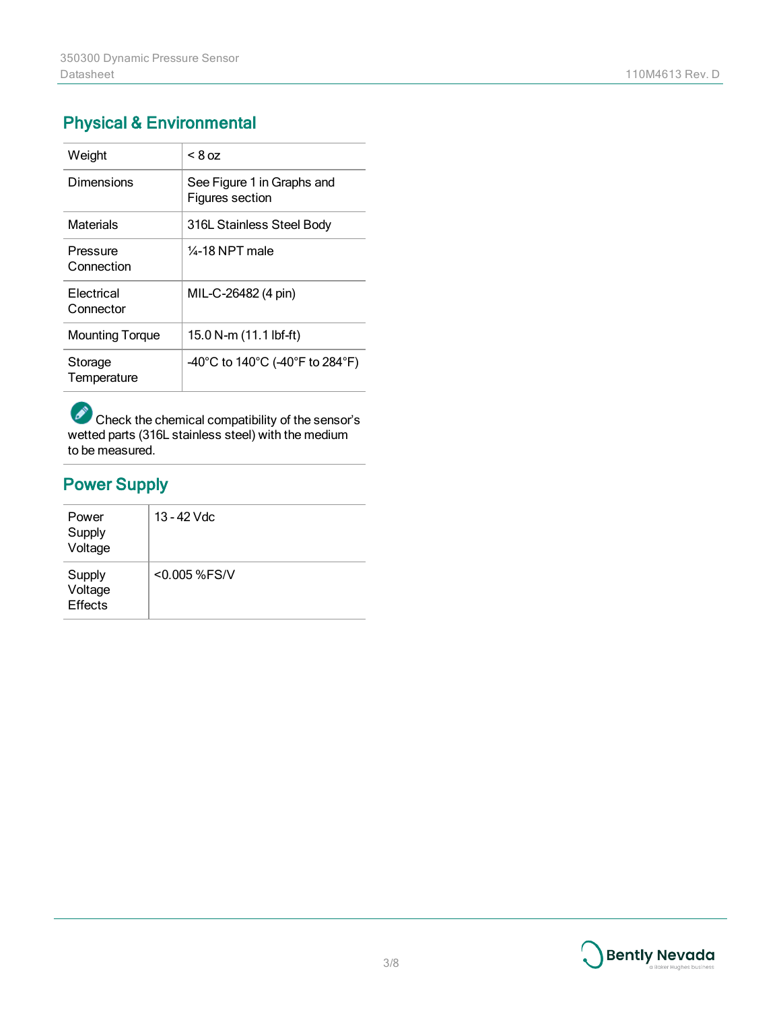## Physical & Environmental

| Weight                  | $< 8$ oz                                      |
|-------------------------|-----------------------------------------------|
| Dimensions              | See Figure 1 in Graphs and<br>Figures section |
| Materials               | 316L Stainless Steel Body                     |
| Pressure<br>Connection  | $\frac{1}{4}$ -18 NPT male                    |
| Electrical<br>Connector | MIL-C-26482 (4 pin)                           |
| <b>Mounting Torque</b>  | 15.0 N-m (11.1 lbf-ft)                        |
| Storage<br>Temperature  | -40°C to 140°C (-40°F to 284°F)               |

Check the chemical compatibility of the sensor's wetted parts (316L stainless steel) with the medium to be measured.

## Power Supply

| Power<br>Supply<br>Voltage          | 13 - 42 Vdc  |
|-------------------------------------|--------------|
| Supply<br>Voltage<br><b>Effects</b> | <0.005 %FS/V |

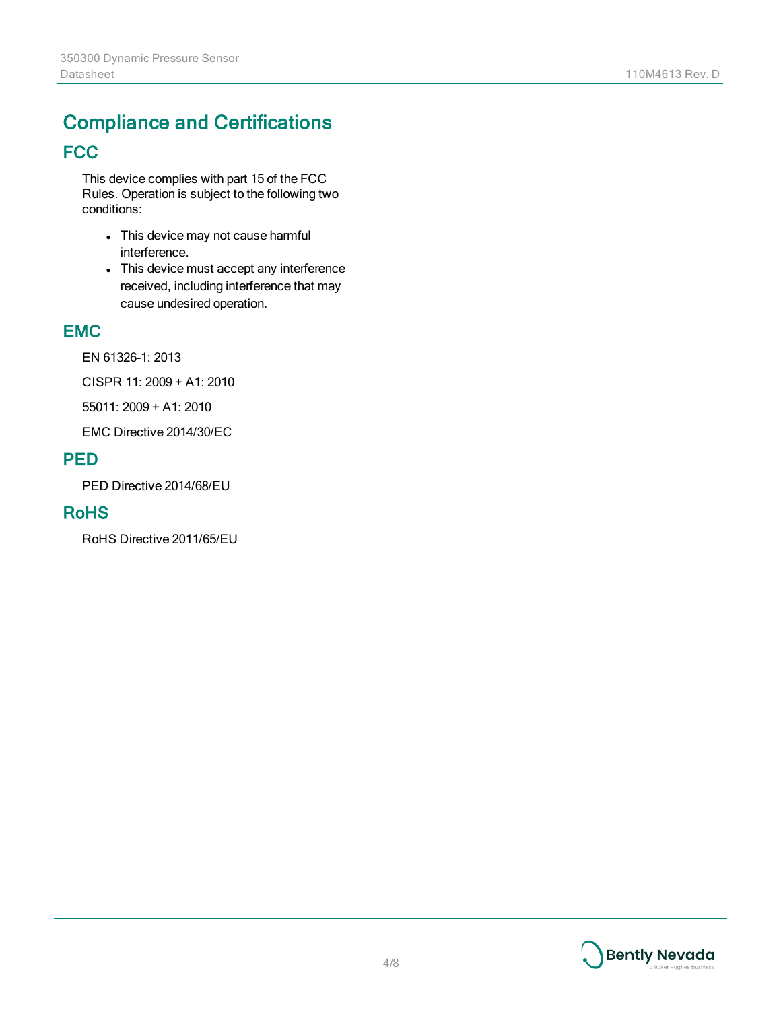## Compliance and Certifications **FCC**

This device complies with part 15 of the FCC Rules. Operation is subject to the following two conditions:

- This device may not cause harmful interference.
- This device must accept any interference received, including interference that may cause undesired operation.

#### EMC

EN 61326-1: 2013

CISPR 11: 2009 + A1: 2010

55011: 2009 + A1: 2010

EMC Directive 2014/30/EC

#### PED

PED Directive 2014/68/EU

#### RoHS

RoHS Directive 2011/65/EU

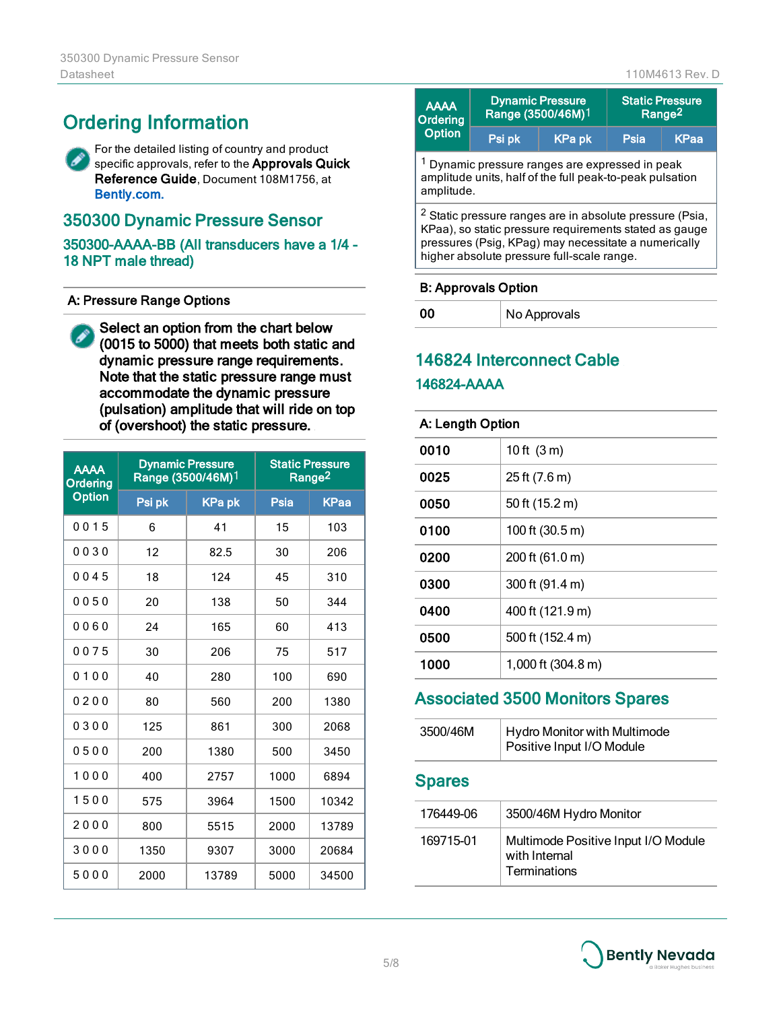## Ordering Information

For the detailed listing of country and product B specific approvals, refer to the Approvals Quick Reference Guide, Document 108M1756, at [Bently.com.](http://www.gemeasurement.com/)

#### 350300 Dynamic Pressure Sensor

350300-AAAA-BB (All transducers have a 1/4 - 18 NPT male thread)

#### A: Pressure Range Options

Select an option from the chart below P) (0015 to 5000) that meets both static and dynamic pressure range requirements. Note that the static pressure range must accommodate the dynamic pressure (pulsation) amplitude that will ride on top of (overshoot) the static pressure.

| <b>AAAA</b><br>Ordering | <b>Dynamic Pressure</b><br>Range (3500/46M)1 |               | <b>Static Pressure</b><br>Range <sup>2</sup> |             |
|-------------------------|----------------------------------------------|---------------|----------------------------------------------|-------------|
| <b>Option</b>           | Psi pk                                       | <b>KPa pk</b> | Psia                                         | <b>KPaa</b> |
| 0015                    | 6                                            | 41            | 15                                           | 103         |
| 0030                    | 12                                           | 82.5          | 30                                           | 206         |
| 0045                    | 18                                           | 124           | 45                                           | 310         |
| 0050                    | 20                                           | 138           | 50                                           | 344         |
| 0060                    | 24                                           | 165           | 60                                           | 413         |
| 0075                    | 30                                           | 206           | 75                                           | 517         |
| 0100                    | 40                                           | 280           | 100                                          | 690         |
| 0200                    | 80                                           | 560           | 200                                          | 1380        |
| 0300                    | 125                                          | 861           | 300                                          | 2068        |
| 0500                    | 200                                          | 1380          | 500                                          | 3450        |
| 1000                    | 400                                          | 2757          | 1000                                         | 6894        |
| 1500                    | 575                                          | 3964          | 1500                                         | 10342       |
| 2000                    | 800                                          | 5515          | 2000                                         | 13789       |
| 3000                    | 1350                                         | 9307          | 3000                                         | 20684       |
| 5000                    | 2000                                         | 13789         | 5000                                         | 34500       |

| <b>AAAA</b><br>Ordering                                                                                                              | <b>Dynamic Pressure</b><br>Range (3500/46M)1<br><b>KPapk</b><br>Psi pk |                                                                                                                               | <b>Static Pressure</b><br>Range <sup>2</sup> |             |
|--------------------------------------------------------------------------------------------------------------------------------------|------------------------------------------------------------------------|-------------------------------------------------------------------------------------------------------------------------------|----------------------------------------------|-------------|
| Option                                                                                                                               |                                                                        |                                                                                                                               | Psia                                         | <b>KPaa</b> |
| <sup>1</sup> Dynamic pressure ranges are expressed in peak<br>amplitude units, half of the full peak-to-peak pulsation<br>amplitude. |                                                                        |                                                                                                                               |                                              |             |
|                                                                                                                                      |                                                                        | <sup>2</sup> Static pressure ranges are in absolute pressure (Psia,<br>KPaa), so static pressure requirements stated as gauge |                                              |             |

pressures (Psig, KPag) may necessitate a numerically higher absolute pressure full-scale range.

#### B: Approvals Option

00 | No Approvals

## 146824 Interconnect Cable 146824-AAAA

#### A: Length Option

| 0010 | 10 ft $(3 m)$      |
|------|--------------------|
| 0025 | 25 ft (7.6 m)      |
| 0050 | 50 ft (15.2 m)     |
| 0100 | 100 ft (30.5 m)    |
| 0200 | 200 ft (61.0 m)    |
| 0300 | 300 ft (91.4 m)    |
| 0400 | 400 ft (121.9 m)   |
| 0500 | 500 ft (152.4 m)   |
| 1000 | 1,000 ft (304.8 m) |

### Associated 3500 Monitors Spares

| 3500/46M | Hydro Monitor with Multimode<br>Positive Input I/O Module |
|----------|-----------------------------------------------------------|
|          |                                                           |

#### Spares

| 176449-06 | 3500/46M Hydro Monitor                                               |
|-----------|----------------------------------------------------------------------|
| 169715-01 | Multimode Positive Input I/O Module<br>with Internal<br>Terminations |

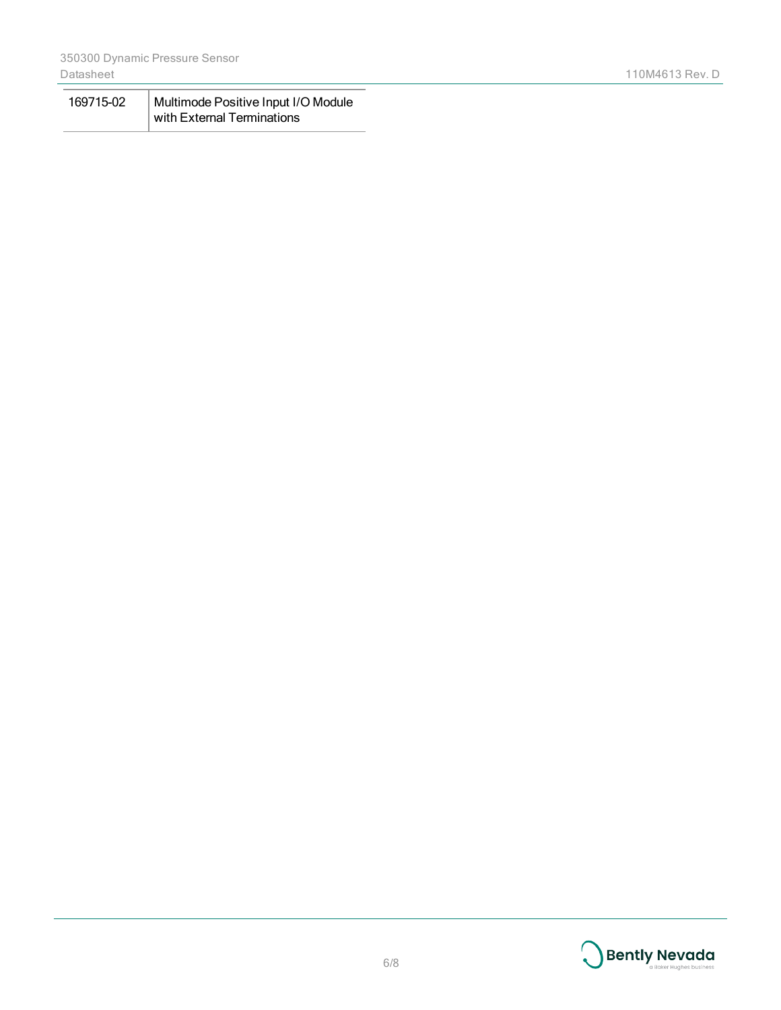| 169715-02 | Multimode Positive Input I/O Module |  |
|-----------|-------------------------------------|--|
|           | with External Terminations          |  |

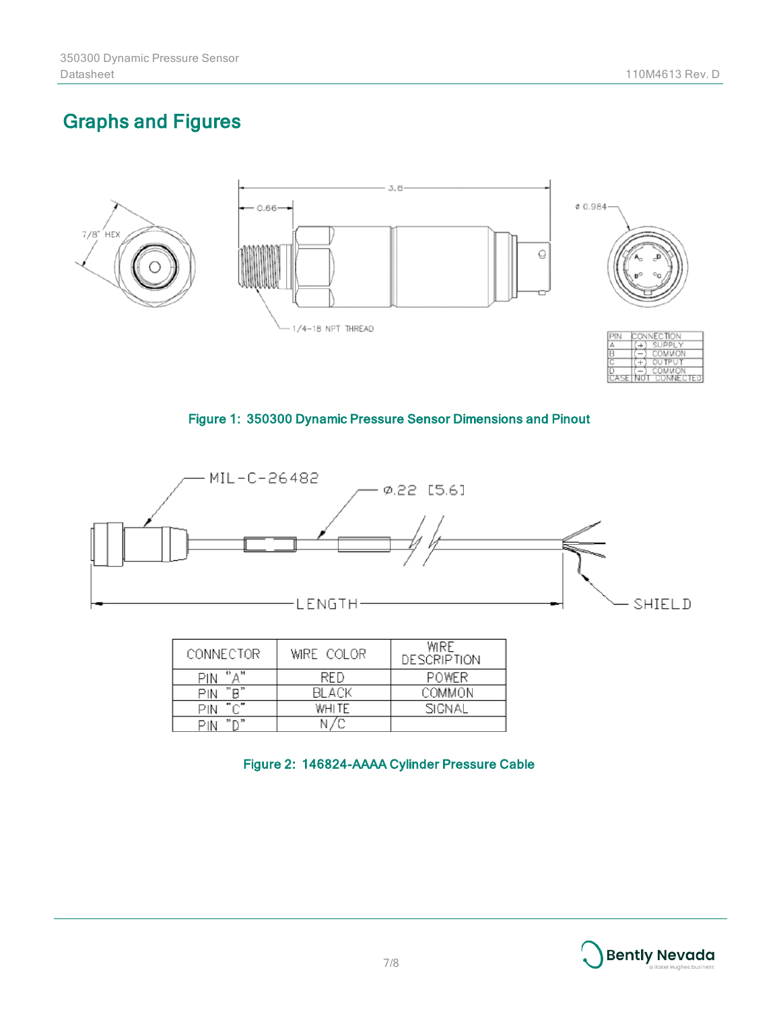Not

## Graphs and Figures



#### Figure 1: 350300 Dynamic Pressure Sensor Dimensions and Pinout



| CONNECTOR                                 | WIRE COLOR | WIRE<br><b>DESCRIPTION</b> |
|-------------------------------------------|------------|----------------------------|
| Д, н<br>15<br>PIN                         | <b>RFD</b> | <b>POWER</b>               |
| "R"<br>PIN                                | BLACK      | COMMON                     |
| PIN                                       | WHITE      | SIGNAL                     |
| $\frac{15}{20}$ m. $\frac{15}{20}$<br>PIN |            |                            |

Figure 2: 146824-AAAA Cylinder Pressure Cable